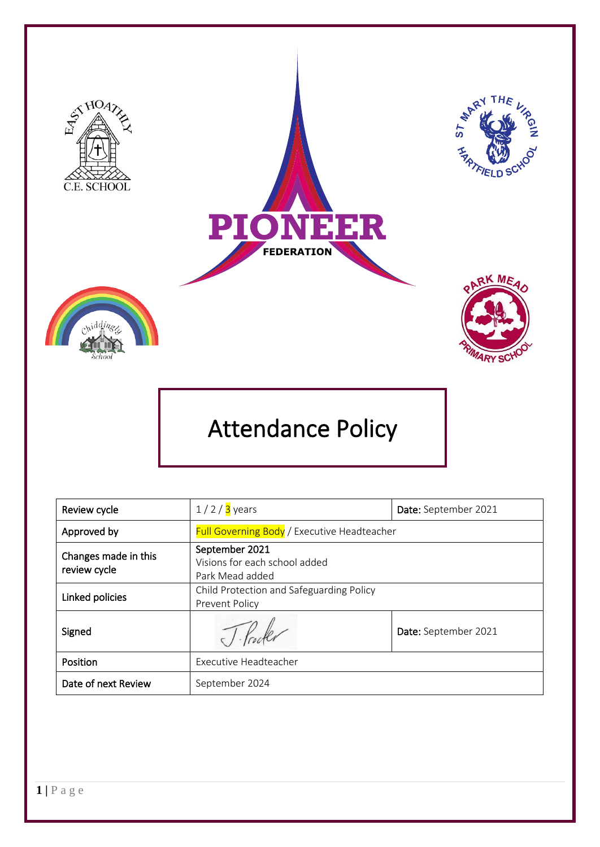

# Attendance Policy

| Review cycle                         | $1/2/3$ years                                                      | Date: September 2021 |
|--------------------------------------|--------------------------------------------------------------------|----------------------|
| Approved by                          | <b>Full Governing Body</b> / Executive Headteacher                 |                      |
| Changes made in this<br>review cycle | September 2021<br>Visions for each school added<br>Park Mead added |                      |
| Linked policies                      | Child Protection and Safeguarding Policy<br>Prevent Policy         |                      |
| Signed                               |                                                                    | Date: September 2021 |
| Position                             | Executive Headteacher                                              |                      |
| Date of next Review                  | September 2024                                                     |                      |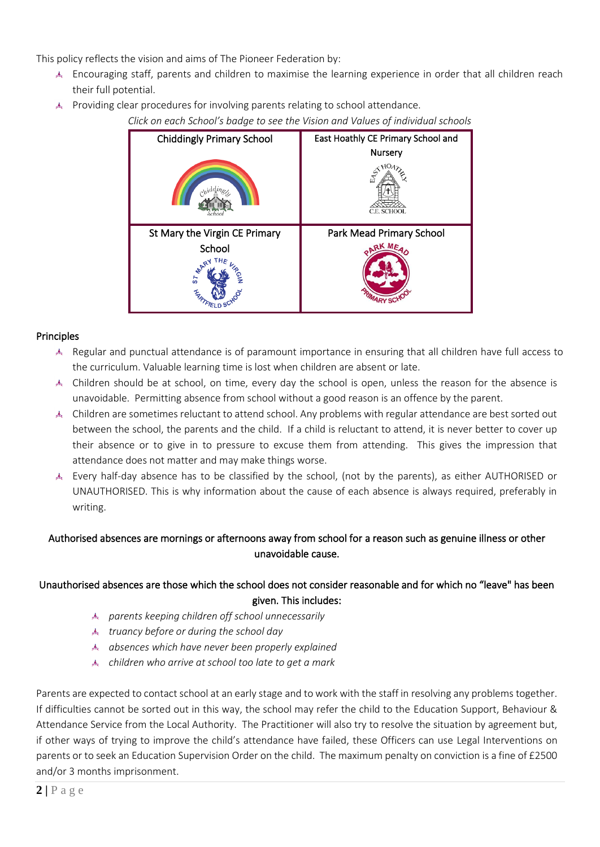This policy reflects the vision and aims of The Pioneer Federation by:

- Encouraging staff, parents and children to maximise the learning experience in order that all children reach their full potential.
- Providing clear procedures for involving parents relating to school attendance.

*Click on each School's badge to see the Vision and Values of individual schools*



#### **Principles**

- Regular and punctual attendance is of paramount importance in ensuring that all children have full access to the curriculum. Valuable learning time is lost when children are absent or late.
- Children should be at school, on time, every day the school is open, unless the reason for the absence is unavoidable. Permitting absence from school without a good reason is an offence by the parent.
- Children are sometimes reluctant to attend school. Any problems with regular attendance are best sorted out between the school, the parents and the child. If a child is reluctant to attend, it is never better to cover up their absence or to give in to pressure to excuse them from attending. This gives the impression that attendance does not matter and may make things worse.
- Every half-day absence has to be classified by the school, (not by the parents), as either AUTHORISED or UNAUTHORISED. This is why information about the cause of each absence is always required, preferably in writing.

## Authorised absences are mornings or afternoons away from school for a reason such as genuine illness or other unavoidable cause.

## Unauthorised absences are those which the school does not consider reasonable and for which no "leave" has been given. This includes:

- *parents keeping children off school unnecessarily*
- *truancy before or during the school day*
- *absences which have never been properly explained*
- *children who arrive at school too late to get a mark*

Parents are expected to contact school at an early stage and to work with the staff in resolving any problems together. If difficulties cannot be sorted out in this way, the school may refer the child to the Education Support, Behaviour & Attendance Service from the Local Authority. The Practitioner will also try to resolve the situation by agreement but, if other ways of trying to improve the child's attendance have failed, these Officers can use Legal Interventions on parents or to seek an Education Supervision Order on the child. The maximum penalty on conviction is a fine of £2500 and/or 3 months imprisonment.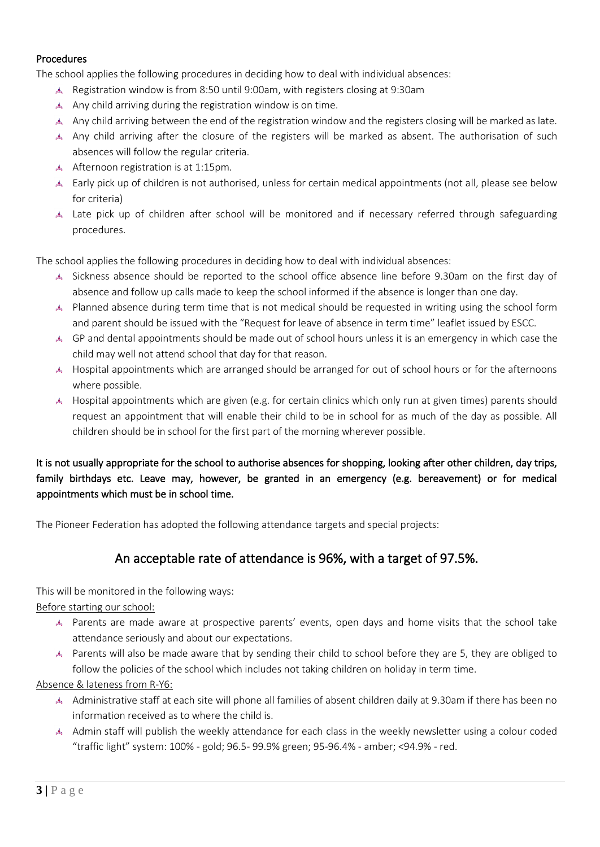#### Procedures

The school applies the following procedures in deciding how to deal with individual absences:

- Registration window is from 8:50 until 9:00am, with registers closing at 9:30am
- A Any child arriving during the registration window is on time.
- Any child arriving between the end of the registration window and the registers closing will be marked as late.
- Any child arriving after the closure of the registers will be marked as absent. The authorisation of such absences will follow the regular criteria.
- Afternoon registration is at 1:15pm.
- Early pick up of children is not authorised, unless for certain medical appointments (not all, please see below for criteria)
- Late pick up of children after school will be monitored and if necessary referred through safeguarding procedures.

The school applies the following procedures in deciding how to deal with individual absences:

- Sickness absence should be reported to the school office absence line before 9.30am on the first day of absence and follow up calls made to keep the school informed if the absence is longer than one day.
- Planned absence during term time that is not medical should be requested in writing using the school form and parent should be issued with the "Request for leave of absence in term time" leaflet issued by ESCC.
- GP and dental appointments should be made out of school hours unless it is an emergency in which case the child may well not attend school that day for that reason.
- Hospital appointments which are arranged should be arranged for out of school hours or for the afternoons where possible.
- Hospital appointments which are given (e.g. for certain clinics which only run at given times) parents should request an appointment that will enable their child to be in school for as much of the day as possible. All children should be in school for the first part of the morning wherever possible.

## It is not usually appropriate for the school to authorise absences for shopping, looking after other children, day trips, family birthdays etc. Leave may, however, be granted in an emergency (e.g. bereavement) or for medical appointments which must be in school time.

The Pioneer Federation has adopted the following attendance targets and special projects:

## An acceptable rate of attendance is 96%, with a target of 97.5%.

This will be monitored in the following ways:

Before starting our school:

- Parents are made aware at prospective parents' events, open days and home visits that the school take attendance seriously and about our expectations.
- A Parents will also be made aware that by sending their child to school before they are 5, they are obliged to follow the policies of the school which includes not taking children on holiday in term time.

#### Absence & lateness from R-Y6:

- A Administrative staff at each site will phone all families of absent children daily at 9.30am if there has been no information received as to where the child is.
- A Admin staff will publish the weekly attendance for each class in the weekly newsletter using a colour coded "traffic light" system: 100% - gold; 96.5- 99.9% green; 95-96.4% - amber; <94.9% - red.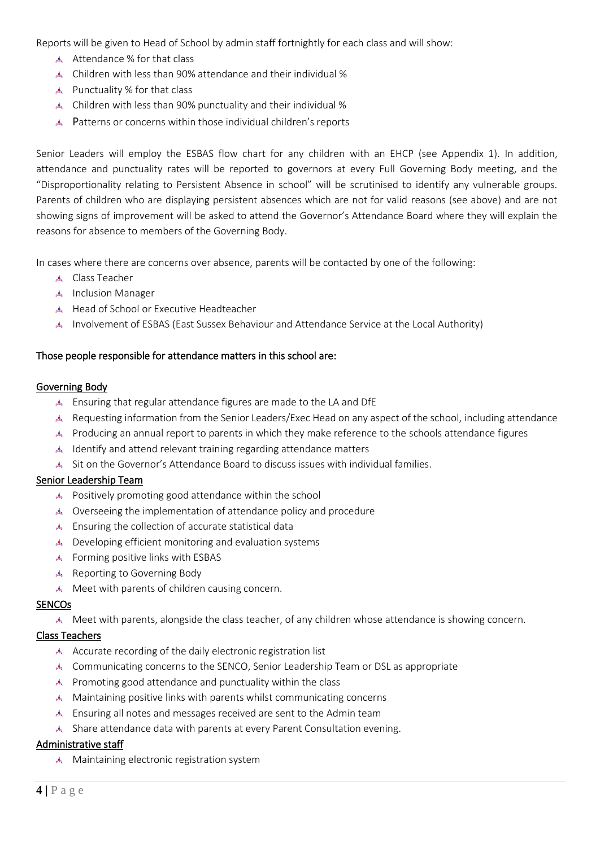Reports will be given to Head of School by admin staff fortnightly for each class and will show:

- Attendance % for that class
- Children with less than 90% attendance and their individual %
- Punctuality % for that class
- Children with less than 90% punctuality and their individual %
- Patterns or concerns within those individual children's reports

Senior Leaders will employ the ESBAS flow chart for any children with an EHCP (see Appendix 1). In addition, attendance and punctuality rates will be reported to governors at every Full Governing Body meeting, and the "Disproportionality relating to Persistent Absence in school" will be scrutinised to identify any vulnerable groups. Parents of children who are displaying persistent absences which are not for valid reasons (see above) and are not showing signs of improvement will be asked to attend the Governor's Attendance Board where they will explain the reasons for absence to members of the Governing Body.

In cases where there are concerns over absence, parents will be contacted by one of the following:

- Class Teacher
- Inclusion Manager
- Head of School or Executive Headteacher
- Involvement of ESBAS (East Sussex Behaviour and Attendance Service at the Local Authority)

#### Those people responsible for attendance matters in this school are:

#### Governing Body

- Ensuring that regular attendance figures are made to the LA and DfE
- Requesting information from the Senior Leaders/Exec Head on any aspect of the school, including attendance
- A Producing an annual report to parents in which they make reference to the schools attendance figures
- $\triangle$  Identify and attend relevant training regarding attendance matters
- Sit on the Governor's Attendance Board to discuss issues with individual families.

#### Senior Leadership Team

- Positively promoting good attendance within the school
- Overseeing the implementation of attendance policy and procedure
- Ensuring the collection of accurate statistical data
- Developing efficient monitoring and evaluation systems
- Forming positive links with ESBAS
- Reporting to Governing Body
- Meet with parents of children causing concern.

#### SENCOs

Meet with parents, alongside the class teacher, of any children whose attendance is showing concern.

#### Class Teachers

- Accurate recording of the daily electronic registration list
- Communicating concerns to the SENCO, Senior Leadership Team or DSL as appropriate
- Promoting good attendance and punctuality within the class
- Maintaining positive links with parents whilst communicating concerns
- Ensuring all notes and messages received are sent to the Admin team
- Share attendance data with parents at every Parent Consultation evening.

#### Administrative staff

Maintaining electronic registration system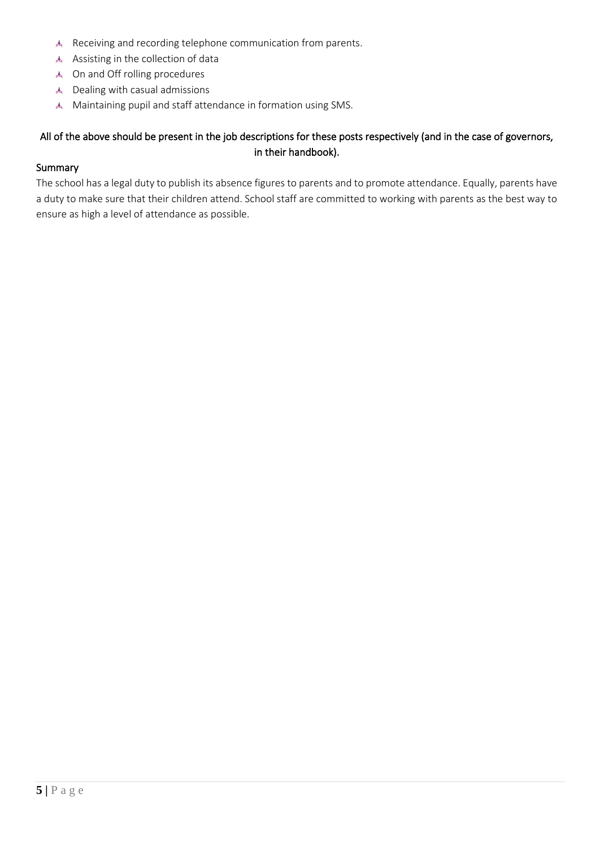- Receiving and recording telephone communication from parents.
- Assisting in the collection of data
- On and Off rolling procedures
- Dealing with casual admissions
- Maintaining pupil and staff attendance in formation using SMS.

## All of the above should be present in the job descriptions for these posts respectively (and in the case of governors, in their handbook).

#### Summary

The school has a legal duty to publish its absence figures to parents and to promote attendance. Equally, parents have a duty to make sure that their children attend. School staff are committed to working with parents as the best way to ensure as high a level of attendance as possible.